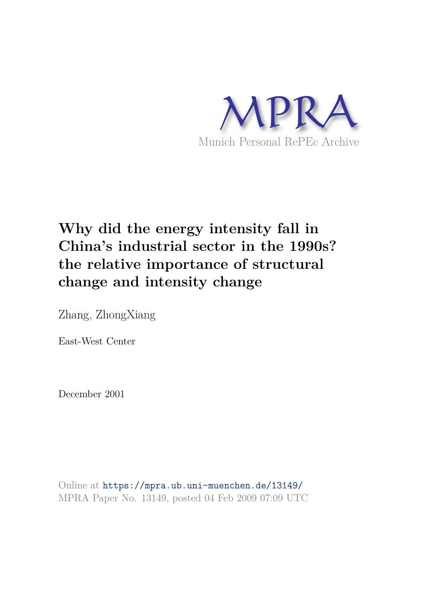

# **Why did the energy intensity fall in China's industrial sector in the 1990s? the relative importance of structural change and intensity change**

Zhang, ZhongXiang

East-West Center

December 2001

Online at https://mpra.ub.uni-muenchen.de/13149/ MPRA Paper No. 13149, posted 04 Feb 2009 07:09 UTC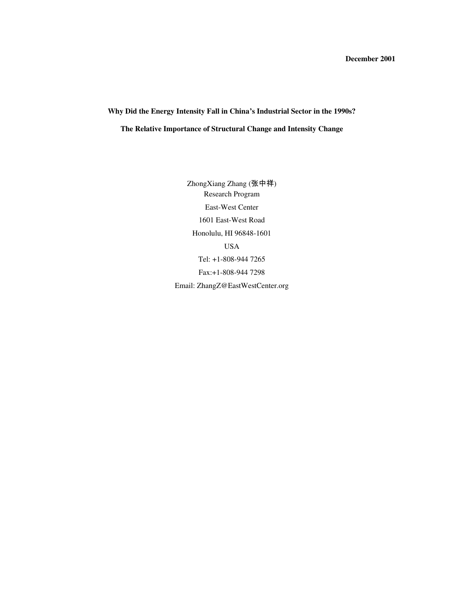# **Why Did the Energy Intensity Fall in China's Industrial Sector in the 1990s? The Relative Importance of Structural Change and Intensity Change**

ZhongXiang Zhang (张中祥) Research Program East-West Center 1601 East-West Road Honolulu, HI 96848-1601 USA Tel: +1-808-944 7265 Fax:+1-808-944 7298 Email: ZhangZ@EastWestCenter.org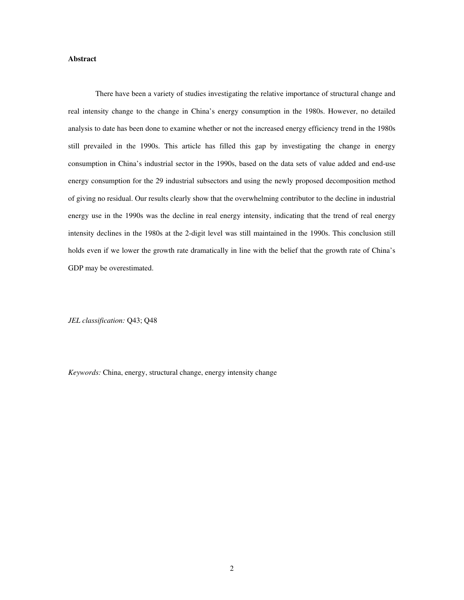# **Abstract**

 There have been a variety of studies investigating the relative importance of structural change and real intensity change to the change in China's energy consumption in the 1980s. However, no detailed analysis to date has been done to examine whether or not the increased energy efficiency trend in the 1980s still prevailed in the 1990s. This article has filled this gap by investigating the change in energy consumption in China's industrial sector in the 1990s, based on the data sets of value added and end-use energy consumption for the 29 industrial subsectors and using the newly proposed decomposition method of giving no residual. Our results clearly show that the overwhelming contributor to the decline in industrial energy use in the 1990s was the decline in real energy intensity, indicating that the trend of real energy intensity declines in the 1980s at the 2-digit level was still maintained in the 1990s. This conclusion still holds even if we lower the growth rate dramatically in line with the belief that the growth rate of China's GDP may be overestimated.

*JEL classification:* Q43; Q48

*Keywords:* China, energy, structural change, energy intensity change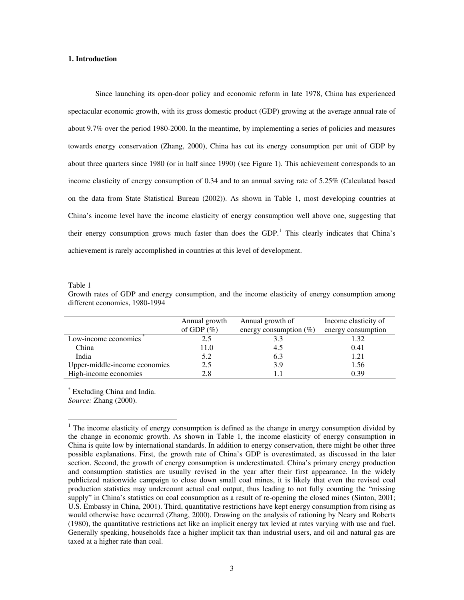# **1. Introduction**

 Since launching its open-door policy and economic reform in late 1978, China has experienced spectacular economic growth, with its gross domestic product (GDP) growing at the average annual rate of about 9.7% over the period 1980-2000. In the meantime, by implementing a series of policies and measures towards energy conservation (Zhang, 2000), China has cut its energy consumption per unit of GDP by about three quarters since 1980 (or in half since 1990) (see Figure 1). This achievement corresponds to an income elasticity of energy consumption of 0.34 and to an annual saving rate of 5.25% (Calculated based on the data from State Statistical Bureau (2002)). As shown in Table 1, most developing countries at China's income level have the income elasticity of energy consumption well above one, suggesting that their energy consumption grows much faster than does the GDP.<sup>[1](#page-3-0)</sup> This clearly indicates that China's achievement is rarely accomplished in countries at this level of development.

Table 1

 $\overline{a}$ 

Growth rates of GDP and energy consumption, and the income elasticity of energy consumption among different economies, 1980-1994

|                               | Annual growth<br>of GDP $(\%)$ | Annual growth of<br>energy consumption $(\%)$ | Income elasticity of<br>energy consumption |
|-------------------------------|--------------------------------|-----------------------------------------------|--------------------------------------------|
| Low-income economies          | 2.5                            | 3.3                                           | 1.32                                       |
| China                         | 11.0                           | 4.5                                           | 0.41                                       |
| India                         | 5.2                            | 6.3                                           | 1.21                                       |
| Upper-middle-income economies | 2.5                            | 3.9                                           | 1.56                                       |
| High-income economies         | 2.8                            |                                               | 0.39                                       |

\* Excluding China and India. *Source:* Zhang (2000).

<span id="page-3-0"></span> $1$  The income elasticity of energy consumption is defined as the change in energy consumption divided by the change in economic growth. As shown in Table 1, the income elasticity of energy consumption in China is quite low by international standards. In addition to energy conservation, there might be other three possible explanations. First, the growth rate of China's GDP is overestimated, as discussed in the later section. Second, the growth of energy consumption is underestimated. China's primary energy production and consumption statistics are usually revised in the year after their first appearance. In the widely publicized nationwide campaign to close down small coal mines, it is likely that even the revised coal production statistics may undercount actual coal output, thus leading to not fully counting the "missing supply" in China's statistics on coal consumption as a result of re-opening the closed mines (Sinton, 2001; U.S. Embassy in China, 2001). Third, quantitative restrictions have kept energy consumption from rising as would otherwise have occurred (Zhang, 2000). Drawing on the analysis of rationing by Neary and Roberts (1980), the quantitative restrictions act like an implicit energy tax levied at rates varying with use and fuel. Generally speaking, households face a higher implicit tax than industrial users, and oil and natural gas are taxed at a higher rate than coal.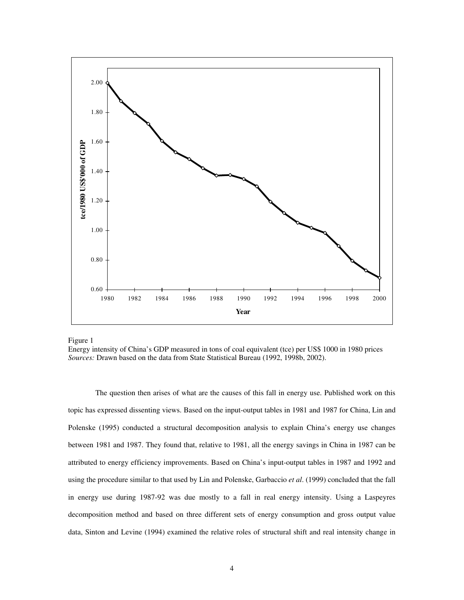

Figure 1

 The question then arises of what are the causes of this fall in energy use. Published work on this topic has expressed dissenting views. Based on the input-output tables in 1981 and 1987 for China, Lin and Polenske (1995) conducted a structural decomposition analysis to explain China's energy use changes between 1981 and 1987. They found that, relative to 1981, all the energy savings in China in 1987 can be attributed to energy efficiency improvements. Based on China's input-output tables in 1987 and 1992 and using the procedure similar to that used by Lin and Polenske, Garbaccio *et al*. (1999) concluded that the fall in energy use during 1987-92 was due mostly to a fall in real energy intensity. Using a Laspeyres decomposition method and based on three different sets of energy consumption and gross output value data, Sinton and Levine (1994) examined the relative roles of structural shift and real intensity change in

Energy intensity of China's GDP measured in tons of coal equivalent (tce) per US\$ 1000 in 1980 prices *Sources:* Drawn based on the data from State Statistical Bureau (1992, 1998b, 2002).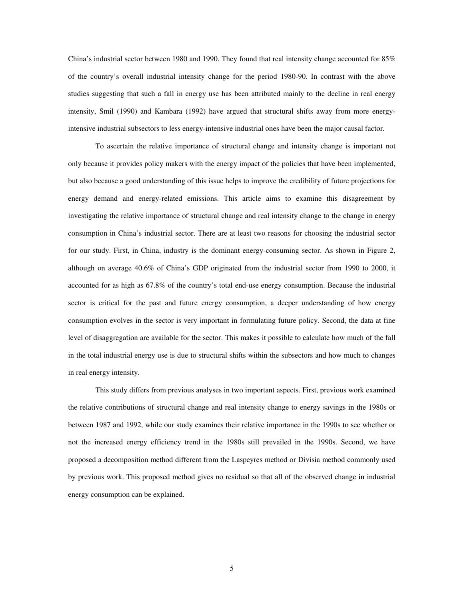China's industrial sector between 1980 and 1990. They found that real intensity change accounted for 85% of the country's overall industrial intensity change for the period 1980-90. In contrast with the above studies suggesting that such a fall in energy use has been attributed mainly to the decline in real energy intensity, Smil (1990) and Kambara (1992) have argued that structural shifts away from more energyintensive industrial subsectors to less energy-intensive industrial ones have been the major causal factor.

 To ascertain the relative importance of structural change and intensity change is important not only because it provides policy makers with the energy impact of the policies that have been implemented, but also because a good understanding of this issue helps to improve the credibility of future projections for energy demand and energy-related emissions. This article aims to examine this disagreement by investigating the relative importance of structural change and real intensity change to the change in energy consumption in China's industrial sector. There are at least two reasons for choosing the industrial sector for our study. First, in China, industry is the dominant energy-consuming sector. As shown in Figure 2, although on average 40.6% of China's GDP originated from the industrial sector from 1990 to 2000, it accounted for as high as 67.8% of the country's total end-use energy consumption. Because the industrial sector is critical for the past and future energy consumption, a deeper understanding of how energy consumption evolves in the sector is very important in formulating future policy. Second, the data at fine level of disaggregation are available for the sector. This makes it possible to calculate how much of the fall in the total industrial energy use is due to structural shifts within the subsectors and how much to changes in real energy intensity.

 This study differs from previous analyses in two important aspects. First, previous work examined the relative contributions of structural change and real intensity change to energy savings in the 1980s or between 1987 and 1992, while our study examines their relative importance in the 1990s to see whether or not the increased energy efficiency trend in the 1980s still prevailed in the 1990s. Second, we have proposed a decomposition method different from the Laspeyres method or Divisia method commonly used by previous work. This proposed method gives no residual so that all of the observed change in industrial energy consumption can be explained.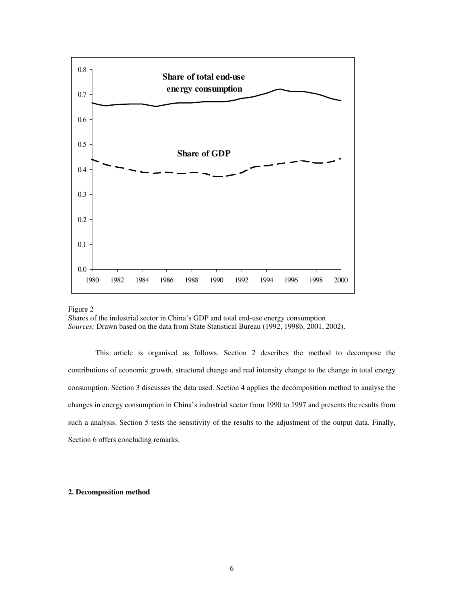

Figure 2

Shares of the industrial sector in China's GDP and total end-use energy consumption *Sources:* Drawn based on the data from State Statistical Bureau (1992, 1998b, 2001, 2002).

 This article is organised as follows. Section 2 describes the method to decompose the contributions of economic growth, structural change and real intensity change to the change in total energy consumption. Section 3 discusses the data used. Section 4 applies the decomposition method to analyse the changes in energy consumption in China's industrial sector from 1990 to 1997 and presents the results from such a analysis. Section 5 tests the sensitivity of the results to the adjustment of the output data. Finally, Section 6 offers concluding remarks.

# **2. Decomposition method**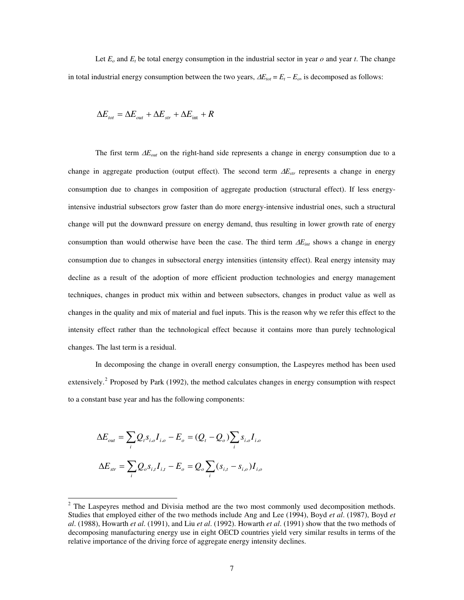Let  $E_o$  and  $E_t$  be total energy consumption in the industrial sector in year  $o$  and year  $t$ . The change in total industrial energy consumption between the two years,  $\Delta E_{tot} = E_t - E_o$ , is decomposed as follows:

$$
\Delta E_{\text{tot}} = \Delta E_{\text{out}} + \Delta E_{\text{str}} + \Delta E_{\text{int}} + R
$$

The first term Δ*Eout* on the right-hand side represents a change in energy consumption due to a change in aggregate production (output effect). The second term Δ*Estr* represents a change in energy consumption due to changes in composition of aggregate production (structural effect). If less energyintensive industrial subsectors grow faster than do more energy-intensive industrial ones, such a structural change will put the downward pressure on energy demand, thus resulting in lower growth rate of energy consumption than would otherwise have been the case. The third term Δ*Eint* shows a change in energy consumption due to changes in subsectoral energy intensities (intensity effect). Real energy intensity may decline as a result of the adoption of more efficient production technologies and energy management techniques, changes in product mix within and between subsectors, changes in product value as well as changes in the quality and mix of material and fuel inputs. This is the reason why we refer this effect to the intensity effect rather than the technological effect because it contains more than purely technological changes. The last term is a residual.

In decomposing the change in overall energy consumption, the Laspeyres method has been used extensively.<sup>[2](#page-7-0)</sup> Proposed by Park (1992), the method calculates changes in energy consumption with respect to a constant base year and has the following components:

$$
\Delta E_{out} = \sum_{i} Q_{i} s_{i,o} I_{i,o} - E_{o} = (Q_{t} - Q_{o}) \sum_{i} s_{i,o} I_{i,o}
$$

$$
\Delta E_{str} = \sum_{i} Q_{o} s_{i,t} I_{i,t} - E_{o} = Q_{o} \sum_{i} (s_{i,t} - s_{i,o}) I_{i,o}
$$

 $\overline{a}$ 

<span id="page-7-0"></span> $2$  The Laspeyres method and Divisia method are the two most commonly used decomposition methods. Studies that employed either of the two methods include Ang and Lee (1994), Boyd *et al*. (1987), Boyd *et al*. (1988), Howarth *et al*. (1991), and Liu *et al*. (1992). Howarth *et al*. (1991) show that the two methods of decomposing manufacturing energy use in eight OECD countries yield very similar results in terms of the relative importance of the driving force of aggregate energy intensity declines.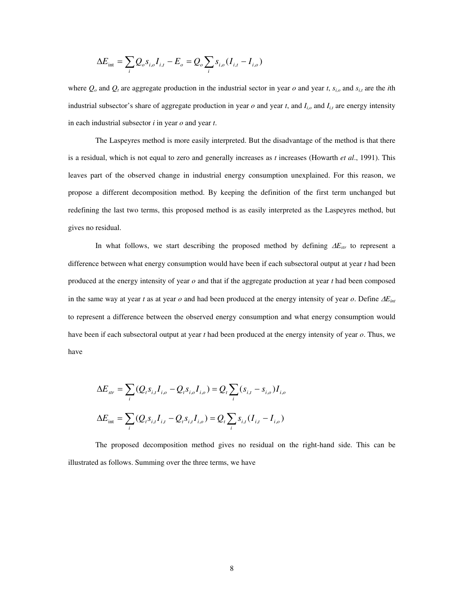$$
\Delta E_{\rm int} = \sum_{i} Q_o s_{i,o} I_{i,t} - E_o = Q_o \sum_{i} s_{i,o} (I_{i,t} - I_{i,o})
$$

where  $Q_o$  and  $Q_t$  are aggregate production in the industrial sector in year  $o$  and year  $t$ ,  $s_{i,o}$  and  $s_{i,t}$  are the *i*th industrial subsector's share of aggregate production in year  $o$  and year  $t$ , and  $I_{i,o}$  and  $I_{i,t}$  are energy intensity in each industrial subsector *i* in year *o* and year *t*.

The Laspeyres method is more easily interpreted. But the disadvantage of the method is that there is a residual, which is not equal to zero and generally increases as *t* increases (Howarth *et al*., 1991). This leaves part of the observed change in industrial energy consumption unexplained. For this reason, we propose a different decomposition method. By keeping the definition of the first term unchanged but redefining the last two terms, this proposed method is as easily interpreted as the Laspeyres method, but gives no residual.

In what follows, we start describing the proposed method by defining Δ*Estr* to represent a difference between what energy consumption would have been if each subsectoral output at year *t* had been produced at the energy intensity of year *o* and that if the aggregate production at year *t* had been composed in the same way at year *t* as at year *o* and had been produced at the energy intensity of year *o*. Define Δ*Eint* to represent a difference between the observed energy consumption and what energy consumption would have been if each subsectoral output at year *t* had been produced at the energy intensity of year *o*. Thus, we have

$$
\Delta E_{str} = \sum_{i} (Q_{i} s_{i,t} I_{i,o} - Q_{i} s_{i,o} I_{i,o}) = Q_{i} \sum_{i} (s_{i,t} - s_{i,o}) I_{i,o}
$$
  

$$
\Delta E_{int} = \sum_{i} (Q_{i} s_{i,t} I_{i,t} - Q_{i} s_{i,t} I_{i,o}) = Q_{i} \sum_{i} s_{i,t} (I_{i,t} - I_{i,o})
$$

 The proposed decomposition method gives no residual on the right-hand side. This can be illustrated as follows. Summing over the three terms, we have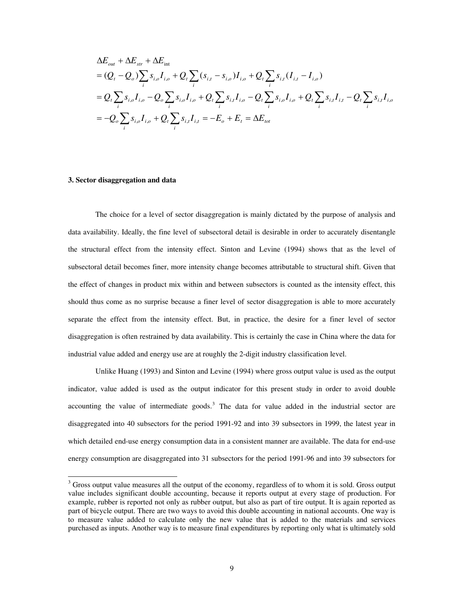$$
\Delta E_{out} + \Delta E_{str} + \Delta E_{int}
$$
\n
$$
= (Q_t - Q_o) \sum_i s_{i,o} I_{i,o} + Q_t \sum_i (s_{i,t} - s_{i,o}) I_{i,o} + Q_t \sum_i s_{i,t} (I_{i,t} - I_{i,o})
$$
\n
$$
= Q_t \sum_i s_{i,o} I_{i,o} - Q_o \sum_i s_{i,o} I_{i,o} + Q_t \sum_i s_{i,t} I_{i,o} - Q_t \sum_i s_{i,o} I_{i,o} + Q_t \sum_i s_{i,t} I_{i,t} - Q_t \sum_i s_{i,t} I_{i,o}
$$
\n
$$
= -Q_o \sum_i s_{i,o} I_{i,o} + Q_t \sum_i s_{i,t} I_{i,t} = -E_o + E_t = \Delta E_{tot}
$$

# **3. Sector disaggregation and data**

 $\overline{a}$ 

 The choice for a level of sector disaggregation is mainly dictated by the purpose of analysis and data availability. Ideally, the fine level of subsectoral detail is desirable in order to accurately disentangle the structural effect from the intensity effect. Sinton and Levine (1994) shows that as the level of subsectoral detail becomes finer, more intensity change becomes attributable to structural shift. Given that the effect of changes in product mix within and between subsectors is counted as the intensity effect, this should thus come as no surprise because a finer level of sector disaggregation is able to more accurately separate the effect from the intensity effect. But, in practice, the desire for a finer level of sector disaggregation is often restrained by data availability. This is certainly the case in China where the data for industrial value added and energy use are at roughly the 2-digit industry classification level.

 Unlike Huang (1993) and Sinton and Levine (1994) where gross output value is used as the output indicator, value added is used as the output indicator for this present study in order to avoid double accounting the value of intermediate goods.<sup>[3](#page-9-0)</sup> The data for value added in the industrial sector are disaggregated into 40 subsectors for the period 1991-92 and into 39 subsectors in 1999, the latest year in which detailed end-use energy consumption data in a consistent manner are available. The data for end-use energy consumption are disaggregated into 31 subsectors for the period 1991-96 and into 39 subsectors for

<span id="page-9-0"></span><sup>&</sup>lt;sup>3</sup> Gross output value measures all the output of the economy, regardless of to whom it is sold. Gross output value includes significant double accounting, because it reports output at every stage of production. For example, rubber is reported not only as rubber output, but also as part of tire output. It is again reported as part of bicycle output. There are two ways to avoid this double accounting in national accounts. One way is to measure value added to calculate only the new value that is added to the materials and services purchased as inputs. Another way is to measure final expenditures by reporting only what is ultimately sold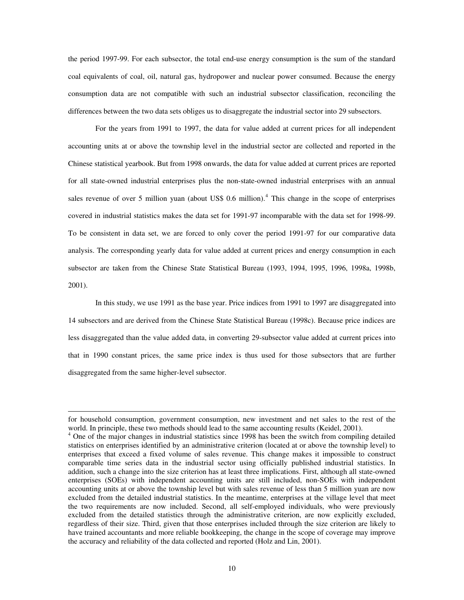the period 1997-99. For each subsector, the total end-use energy consumption is the sum of the standard coal equivalents of coal, oil, natural gas, hydropower and nuclear power consumed. Because the energy consumption data are not compatible with such an industrial subsector classification, reconciling the differences between the two data sets obliges us to disaggregate the industrial sector into 29 subsectors.

 For the years from 1991 to 1997, the data for value added at current prices for all independent accounting units at or above the township level in the industrial sector are collected and reported in the Chinese statistical yearbook. But from 1998 onwards, the data for value added at current prices are reported for all state-owned industrial enterprises plus the non-state-owned industrial enterprises with an annual sales revenue of over 5 million yuan (about US\$ 0.6 million).<sup>[4](#page-10-0)</sup> This change in the scope of enterprises covered in industrial statistics makes the data set for 1991-97 incomparable with the data set for 1998-99. To be consistent in data set, we are forced to only cover the period 1991-97 for our comparative data analysis. The corresponding yearly data for value added at current prices and energy consumption in each subsector are taken from the Chinese State Statistical Bureau (1993, 1994, 1995, 1996, 1998a, 1998b, 2001).

 In this study, we use 1991 as the base year. Price indices from 1991 to 1997 are disaggregated into 14 subsectors and are derived from the Chinese State Statistical Bureau (1998c). Because price indices are less disaggregated than the value added data, in converting 29-subsector value added at current prices into that in 1990 constant prices, the same price index is thus used for those subsectors that are further disaggregated from the same higher-level subsector.

1

for household consumption, government consumption, new investment and net sales to the rest of the world. In principle, these two methods should lead to the same accounting results (Keidel, 2001).

<span id="page-10-0"></span><sup>&</sup>lt;sup>4</sup> One of the major changes in industrial statistics since 1998 has been the switch from compiling detailed statistics on enterprises identified by an administrative criterion (located at or above the township level) to enterprises that exceed a fixed volume of sales revenue. This change makes it impossible to construct comparable time series data in the industrial sector using officially published industrial statistics. In addition, such a change into the size criterion has at least three implications. First, although all state-owned enterprises (SOEs) with independent accounting units are still included, non-SOEs with independent accounting units at or above the township level but with sales revenue of less than 5 million yuan are now excluded from the detailed industrial statistics. In the meantime, enterprises at the village level that meet the two requirements are now included. Second, all self-employed individuals, who were previously excluded from the detailed statistics through the administrative criterion, are now explicitly excluded, regardless of their size. Third, given that those enterprises included through the size criterion are likely to have trained accountants and more reliable bookkeeping, the change in the scope of coverage may improve the accuracy and reliability of the data collected and reported (Holz and Lin, 2001).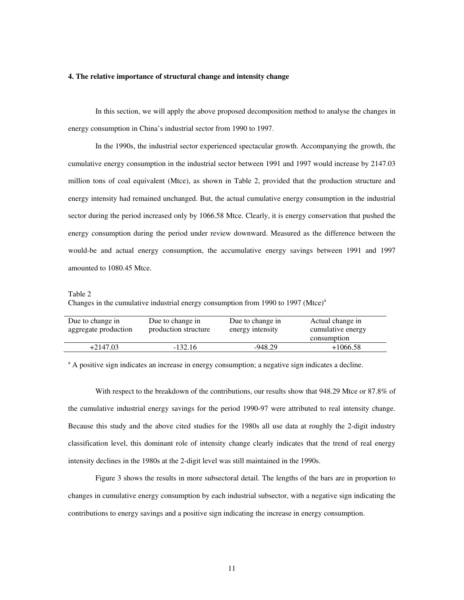# **4. The relative importance of structural change and intensity change**

 In this section, we will apply the above proposed decomposition method to analyse the changes in energy consumption in China's industrial sector from 1990 to 1997.

 In the 1990s, the industrial sector experienced spectacular growth. Accompanying the growth, the cumulative energy consumption in the industrial sector between 1991 and 1997 would increase by 2147.03 million tons of coal equivalent (Mtce), as shown in Table 2, provided that the production structure and energy intensity had remained unchanged. But, the actual cumulative energy consumption in the industrial sector during the period increased only by 1066.58 Mtce. Clearly, it is energy conservation that pushed the energy consumption during the period under review downward. Measured as the difference between the would-be and actual energy consumption, the accumulative energy savings between 1991 and 1997 amounted to 1080.45 Mtce.

#### Table 2

Changes in the cumulative industrial energy consumption from 1990 to 1997 (Mtce) $a$ 

| production structure |           | cumulative energy<br>consumption |
|----------------------|-----------|----------------------------------|
| $-132.16$            | $-948.29$ | $+1066.58$                       |
|                      |           | energy intensity                 |

<sup>a</sup> A positive sign indicates an increase in energy consumption; a negative sign indicates a decline.

 With respect to the breakdown of the contributions, our results show that 948.29 Mtce or 87.8% of the cumulative industrial energy savings for the period 1990-97 were attributed to real intensity change. Because this study and the above cited studies for the 1980s all use data at roughly the 2-digit industry classification level, this dominant role of intensity change clearly indicates that the trend of real energy intensity declines in the 1980s at the 2-digit level was still maintained in the 1990s.

 Figure 3 shows the results in more subsectoral detail. The lengths of the bars are in proportion to changes in cumulative energy consumption by each industrial subsector, with a negative sign indicating the contributions to energy savings and a positive sign indicating the increase in energy consumption.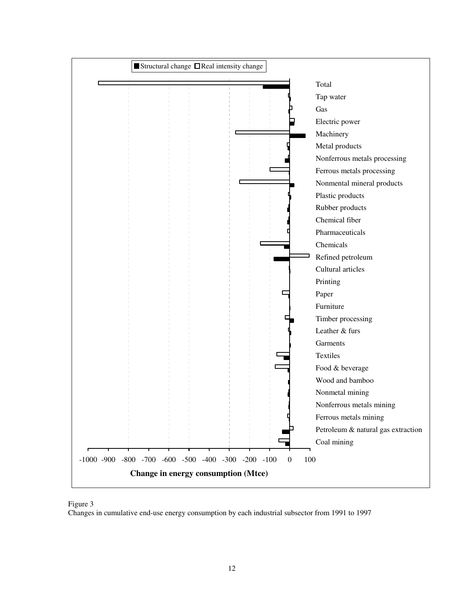



Changes in cumulative end-use energy consumption by each industrial subsector from 1991 to 1997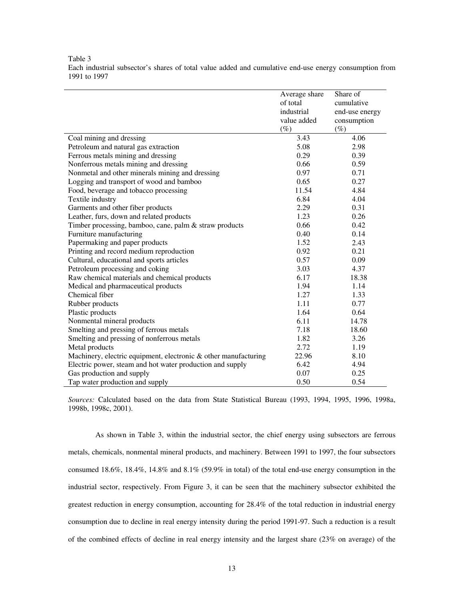# Table 3

Each industrial subsector's shares of total value added and cumulative end-use energy consumption from 1991 to 1997

|                                                                 | Average share | Share of       |
|-----------------------------------------------------------------|---------------|----------------|
|                                                                 | of total      | cumulative     |
|                                                                 | industrial    | end-use energy |
|                                                                 | value added   | consumption    |
|                                                                 | $(\%)$        | $(\%)$         |
| Coal mining and dressing                                        | 3.43          | 4.06           |
| Petroleum and natural gas extraction                            | 5.08          | 2.98           |
| Ferrous metals mining and dressing                              | 0.29          | 0.39           |
| Nonferrous metals mining and dressing                           | 0.66          | 0.59           |
| Nonmetal and other minerals mining and dressing                 | 0.97          | 0.71           |
| Logging and transport of wood and bamboo                        | 0.65          | 0.27           |
| Food, beverage and tobacco processing                           | 11.54         | 4.84           |
| Textile industry                                                | 6.84          | 4.04           |
| Garments and other fiber products                               | 2.29          | 0.31           |
| Leather, furs, down and related products                        | 1.23          | 0.26           |
| Timber processing, bamboo, cane, palm & straw products          | 0.66          | 0.42           |
| Furniture manufacturing                                         | 0.40          | 0.14           |
| Papermaking and paper products                                  | 1.52          | 2.43           |
| Printing and record medium reproduction                         | 0.92          | 0.21           |
| Cultural, educational and sports articles                       | 0.57          | 0.09           |
| Petroleum processing and coking                                 | 3.03          | 4.37           |
| Raw chemical materials and chemical products                    | 6.17          | 18.38          |
| Medical and pharmaceutical products                             | 1.94          | 1.14           |
| Chemical fiber                                                  | 1.27          | 1.33           |
| Rubber products                                                 | 1.11          | 0.77           |
| Plastic products                                                | 1.64          | 0.64           |
| Nonmental mineral products                                      | 6.11          | 14.78          |
| Smelting and pressing of ferrous metals                         | 7.18          | 18.60          |
| Smelting and pressing of nonferrous metals                      | 1.82          | 3.26           |
| Metal products                                                  | 2.72          | 1.19           |
| Machinery, electric equipment, electronic & other manufacturing | 22.96         | 8.10           |
| Electric power, steam and hot water production and supply       | 6.42          | 4.94           |
| Gas production and supply                                       | 0.07          | 0.25           |
| Tap water production and supply                                 | 0.50          | 0.54           |

*Sources:* Calculated based on the data from State Statistical Bureau (1993, 1994, 1995, 1996, 1998a, 1998b, 1998c, 2001).

As shown in Table 3, within the industrial sector, the chief energy using subsectors are ferrous metals, chemicals, nonmental mineral products, and machinery. Between 1991 to 1997, the four subsectors consumed 18.6%, 18.4%, 14.8% and 8.1% (59.9% in total) of the total end-use energy consumption in the industrial sector, respectively. From Figure 3, it can be seen that the machinery subsector exhibited the greatest reduction in energy consumption, accounting for 28.4% of the total reduction in industrial energy consumption due to decline in real energy intensity during the period 1991-97. Such a reduction is a result of the combined effects of decline in real energy intensity and the largest share (23% on average) of the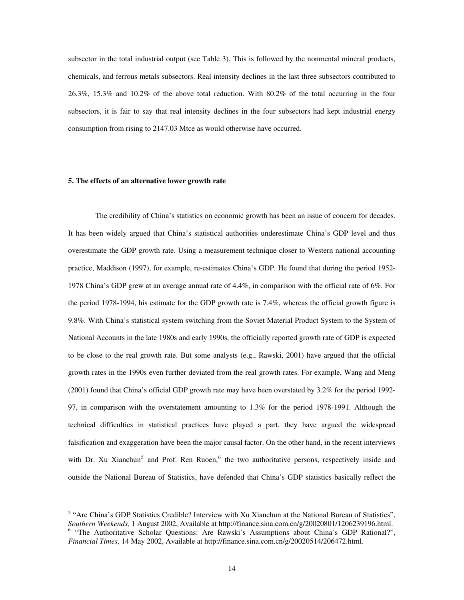subsector in the total industrial output (see Table 3). This is followed by the nonmental mineral products, chemicals, and ferrous metals subsectors. Real intensity declines in the last three subsectors contributed to 26.3%, 15.3% and 10.2% of the above total reduction. With 80.2% of the total occurring in the four subsectors, it is fair to say that real intensity declines in the four subsectors had kept industrial energy consumption from rising to 2147.03 Mtce as would otherwise have occurred.

# **5. The effects of an alternative lower growth rate**

-

 The credibility of China's statistics on economic growth has been an issue of concern for decades. It has been widely argued that China's statistical authorities underestimate China's GDP level and thus overestimate the GDP growth rate. Using a measurement technique closer to Western national accounting practice, Maddison (1997), for example, re-estimates China's GDP. He found that during the period 1952- 1978 China's GDP grew at an average annual rate of 4.4%, in comparison with the official rate of 6%. For the period 1978-1994, his estimate for the GDP growth rate is 7.4%, whereas the official growth figure is 9.8%. With China's statistical system switching from the Soviet Material Product System to the System of National Accounts in the late 1980s and early 1990s, the officially reported growth rate of GDP is expected to be close to the real growth rate. But some analysts (e.g., Rawski, 2001) have argued that the official growth rates in the 1990s even further deviated from the real growth rates. For example, Wang and Meng (2001) found that China's official GDP growth rate may have been overstated by 3.2% for the period 1992- 97, in comparison with the overstatement amounting to 1.3% for the period 1978-1991. Although the technical difficulties in statistical practices have played a part, they have argued the widespread falsification and exaggeration have been the major causal factor. On the other hand, in the recent interviews with Dr. Xu Xianchun<sup>[5](#page-14-0)</sup> and Prof. Ren Ruoen,<sup>[6](#page-14-1)</sup> the two authoritative persons, respectively inside and outside the National Bureau of Statistics, have defended that China's GDP statistics basically reflect the

<span id="page-14-1"></span><span id="page-14-0"></span><sup>&</sup>lt;sup>5</sup> "Are China's GDP Statistics Credible? Interview with Xu Xianchun at the National Bureau of Statistics", *Southern Weekends,* 1 August 2002, Available at http://finance.sina.com.cn/g/20020801/1206239196.html. <sup>6</sup> "The Authoritative Scholar Questions: Are Rawski's Assumptions about China's GDP Rational?", *Financial Times*, 14 May 2002, Available at http://finance.sina.com.cn/g/20020514/206472.html.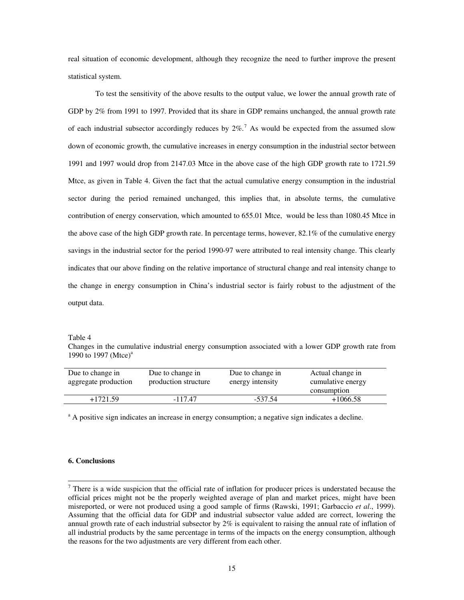real situation of economic development, although they recognize the need to further improve the present statistical system.

 To test the sensitivity of the above results to the output value, we lower the annual growth rate of GDP by 2% from 1991 to 1997. Provided that its share in GDP remains unchanged, the annual growth rate of each industrial subsector accordingly reduces by  $2\%$ .<sup>[7](#page-15-0)</sup> As would be expected from the assumed slow down of economic growth, the cumulative increases in energy consumption in the industrial sector between 1991 and 1997 would drop from 2147.03 Mtce in the above case of the high GDP growth rate to 1721.59 Mtce, as given in Table 4. Given the fact that the actual cumulative energy consumption in the industrial sector during the period remained unchanged, this implies that, in absolute terms, the cumulative contribution of energy conservation, which amounted to 655.01 Mtce, would be less than 1080.45 Mtce in the above case of the high GDP growth rate. In percentage terms, however, 82.1% of the cumulative energy savings in the industrial sector for the period 1990-97 were attributed to real intensity change. This clearly indicates that our above finding on the relative importance of structural change and real intensity change to the change in energy consumption in China's industrial sector is fairly robust to the adjustment of the output data.

Table 4

Changes in the cumulative industrial energy consumption associated with a lower GDP growth rate from 1990 to 1997 (Mtce)<sup>a</sup>

| Due to change in<br>aggregate production | Due to change in<br>production structure | Due to change in<br>energy intensity | Actual change in<br>cumulative energy<br>consumption |
|------------------------------------------|------------------------------------------|--------------------------------------|------------------------------------------------------|
| $+1721.59$                               | $-117.47$                                | $-537.54$                            | $+1066.58$                                           |

<sup>a</sup> A positive sign indicates an increase in energy consumption; a negative sign indicates a decline.

# **6. Conclusions**

<span id="page-15-0"></span><sup>&</sup>lt;sup>7</sup> There is a wide suspicion that the official rate of inflation for producer prices is understated because the official prices might not be the properly weighted average of plan and market prices, might have been misreported, or were not produced using a good sample of firms (Rawski, 1991; Garbaccio *et al*., 1999). Assuming that the official data for GDP and industrial subsector value added are correct, lowering the annual growth rate of each industrial subsector by 2% is equivalent to raising the annual rate of inflation of all industrial products by the same percentage in terms of the impacts on the energy consumption, although the reasons for the two adjustments are very different from each other.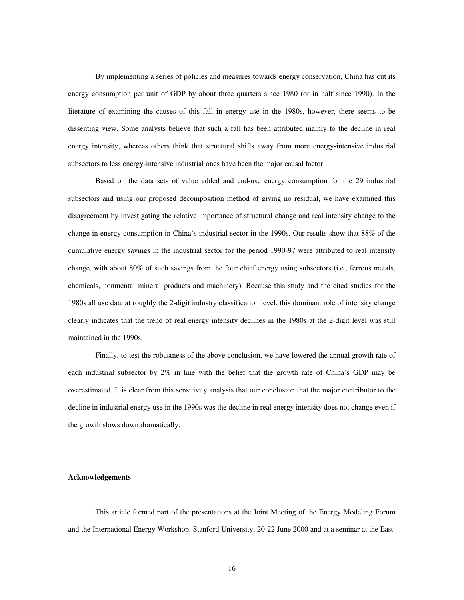By implementing a series of policies and measures towards energy conservation, China has cut its energy consumption per unit of GDP by about three quarters since 1980 (or in half since 1990). In the literature of examining the causes of this fall in energy use in the 1980s, however, there seems to be dissenting view. Some analysts believe that such a fall has been attributed mainly to the decline in real energy intensity, whereas others think that structural shifts away from more energy-intensive industrial subsectors to less energy-intensive industrial ones have been the major causal factor.

 Based on the data sets of value added and end-use energy consumption for the 29 industrial subsectors and using our proposed decomposition method of giving no residual, we have examined this disagreement by investigating the relative importance of structural change and real intensity change to the change in energy consumption in China's industrial sector in the 1990s. Our results show that 88% of the cumulative energy savings in the industrial sector for the period 1990-97 were attributed to real intensity change, with about 80% of such savings from the four chief energy using subsectors (i.e., ferrous metals, chemicals, nonmental mineral products and machinery). Because this study and the cited studies for the 1980s all use data at roughly the 2-digit industry classification level, this dominant role of intensity change clearly indicates that the trend of real energy intensity declines in the 1980s at the 2-digit level was still maintained in the 1990s.

 Finally, to test the robustness of the above conclusion, we have lowered the annual growth rate of each industrial subsector by 2% in line with the belief that the growth rate of China's GDP may be overestimated. It is clear from this sensitivity analysis that our conclusion that the major contributor to the decline in industrial energy use in the 1990s was the decline in real energy intensity does not change even if the growth slows down dramatically.

# **Acknowledgements**

 This article formed part of the presentations at the Joint Meeting of the Energy Modeling Forum and the International Energy Workshop, Stanford University, 20-22 June 2000 and at a seminar at the East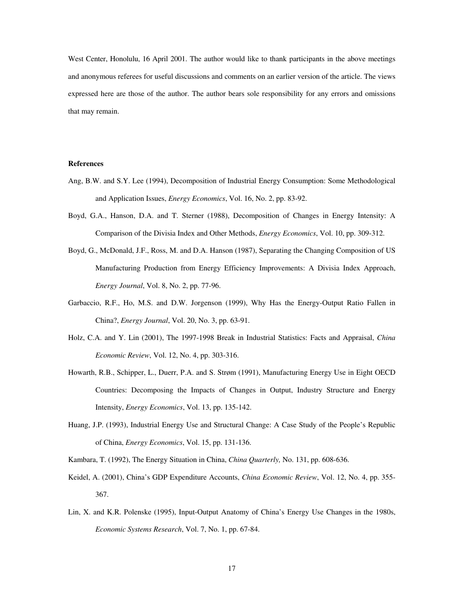West Center, Honolulu, 16 April 2001. The author would like to thank participants in the above meetings and anonymous referees for useful discussions and comments on an earlier version of the article. The views expressed here are those of the author. The author bears sole responsibility for any errors and omissions that may remain.

# **References**

- Ang, B.W. and S.Y. Lee (1994), Decomposition of Industrial Energy Consumption: Some Methodological and Application Issues, *Energy Economics*, Vol. 16, No. 2, pp. 83-92.
- Boyd, G.A., Hanson, D.A. and T. Sterner (1988), Decomposition of Changes in Energy Intensity: A Comparison of the Divisia Index and Other Methods, *Energy Economics*, Vol. 10, pp. 309-312.
- Boyd, G., McDonald, J.F., Ross, M. and D.A. Hanson (1987), Separating the Changing Composition of US Manufacturing Production from Energy Efficiency Improvements: A Divisia Index Approach, *Energy Journal*, Vol. 8, No. 2, pp. 77-96.
- Garbaccio, R.F., Ho, M.S. and D.W. Jorgenson (1999), Why Has the Energy-Output Ratio Fallen in China?, *Energy Journal*, Vol. 20, No. 3, pp. 63-91.
- Holz, C.A. and Y. Lin (2001), The 1997-1998 Break in Industrial Statistics: Facts and Appraisal, *China Economic Review*, Vol. 12, No. 4, pp. 303-316.
- Howarth, R.B., Schipper, L., Duerr, P.A. and S. Strøm (1991), Manufacturing Energy Use in Eight OECD Countries: Decomposing the Impacts of Changes in Output, Industry Structure and Energy Intensity, *Energy Economics*, Vol. 13, pp. 135-142.
- Huang, J.P. (1993), Industrial Energy Use and Structural Change: A Case Study of the People's Republic of China, *Energy Economics*, Vol. 15, pp. 131-136.
- Kambara, T. (1992), The Energy Situation in China, *China Quarterly,* No. 131, pp. 608-636.
- Keidel, A. (2001), China's GDP Expenditure Accounts, *China Economic Review*, Vol. 12, No. 4, pp. 355- 367.
- Lin, X. and K.R. Polenske (1995), Input-Output Anatomy of China's Energy Use Changes in the 1980s, *Economic Systems Research*, Vol. 7, No. 1, pp. 67-84.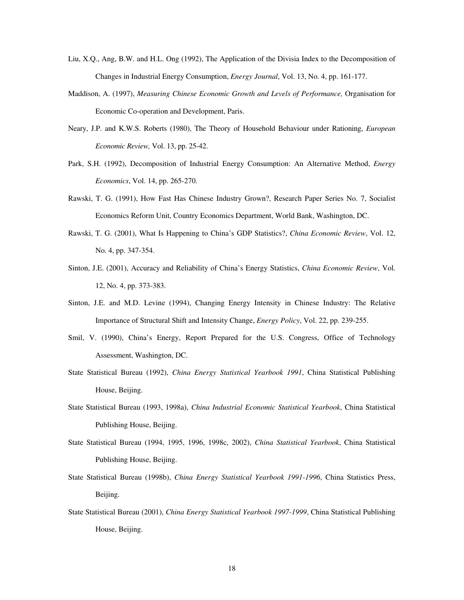- Liu, X.Q., Ang, B.W. and H.L. Ong (1992), The Application of the Divisia Index to the Decomposition of Changes in Industrial Energy Consumption, *Energy Journal*, Vol. 13, No. 4, pp. 161-177.
- Maddison, A. (1997), *Measuring Chinese Economic Growth and Levels of Performance,* Organisation for Economic Co-operation and Development, Paris.
- Neary, J.P. and K.W.S. Roberts (1980), The Theory of Household Behaviour under Rationing, *European Economic Review,* Vol. 13, pp. 25-42.
- Park, S.H. (1992), Decomposition of Industrial Energy Consumption: An Alternative Method, *Energy Economics*, Vol. 14, pp. 265-270.
- Rawski, T. G. (1991), How Fast Has Chinese Industry Grown?, Research Paper Series No. 7, Socialist Economics Reform Unit, Country Economics Department, World Bank, Washington, DC.
- Rawski, T. G. (2001), What Is Happening to China's GDP Statistics?, *China Economic Review*, Vol. 12, No. 4, pp. 347-354.
- Sinton, J.E. (2001), Accuracy and Reliability of China's Energy Statistics, *China Economic Review*, Vol. 12, No. 4, pp. 373-383.
- Sinton, J.E. and M.D. Levine (1994), Changing Energy Intensity in Chinese Industry: The Relative Importance of Structural Shift and Intensity Change, *Energy Policy*, Vol. 22, pp. 239-255.
- Smil, V. (1990), China's Energy, Report Prepared for the U.S. Congress, Office of Technology Assessment, Washington, DC.
- State Statistical Bureau (1992), *China Energy Statistical Yearbook 1991*, China Statistical Publishing House, Beijing.
- State Statistical Bureau (1993, 1998a), *China Industrial Economic Statistical Yearbook*, China Statistical Publishing House, Beijing.
- State Statistical Bureau (1994, 1995, 1996, 1998c, 2002), *China Statistical Yearbook*, China Statistical Publishing House, Beijing.
- State Statistical Bureau (1998b), *China Energy Statistical Yearbook 1991-1996*, China Statistics Press, Beijing.
- State Statistical Bureau (2001), *China Energy Statistical Yearbook 1997-1999*, China Statistical Publishing House, Beijing.